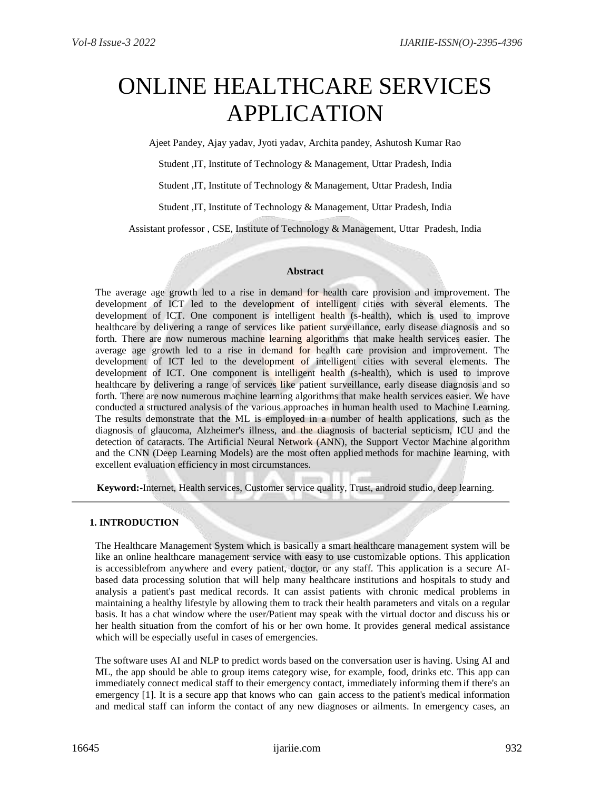# ONLINE HEALTHCARE SERVICES APPLICATION

Ajeet Pandey, Ajay yadav, Jyoti yadav, Archita pandey, Ashutosh Kumar Rao

Student ,IT, Institute of Technology & Management, Uttar Pradesh, India

Student ,IT, Institute of Technology & Management, Uttar Pradesh, India

Student ,IT, Institute of Technology & Management, Uttar Pradesh, India

Assistant professor , CSE, Institute of Technology & Management, Uttar Pradesh, India

### **Abstract**

The average age growth led to a rise in demand for health care provision and improvement. The development of ICT led to the development of intelligent cities with several elements. The development of ICT. One component is intelligent health (s-health), which is used to improve healthcare by delivering a range of services like patient surveillance, early disease diagnosis and so forth. There are now numerous machine learning algorithms that make health services easier. The average age growth led to a rise in demand for health care provision and improvement. The development of ICT led to the development of intelligent cities with several elements. The development of ICT. One component is intelligent health (s-health), which is used to improve healthcare by delivering a range of services like patient surveillance, early disease diagnosis and so forth. There are now numerous machine learning algorithms that make health services easier. We have conducted a structured analysis of the various approaches in human health used to Machine Learning. The results demonstrate that the ML is employed in a number of health applications, such as the diagnosis of glaucoma, Alzheimer's illness, and the diagnosis of bacterial septicism, ICU and the detection of cataracts. The Artificial Neural Network (ANN), the Support Vector Machine algorithm and the CNN (Deep Learning Models) are the most often applied methods for machine learning, with excellent evaluation efficiency in most circumstances.

**Keyword:-**Internet, Health services, Customer service quality, Trust, android studio, deep learning.

## **1. INTRODUCTION**

The Healthcare Management System which is basically a smart healthcare management system will be like an online healthcare management service with easy to use customizable options. This application is accessiblefrom anywhere and every patient, doctor, or any staff. This application is a secure AIbased data processing solution that will help many healthcare institutions and hospitals to study and analysis a patient's past medical records. It can assist patients with chronic medical problems in maintaining a healthy lifestyle by allowing them to track their health parameters and vitals on a regular basis. It has a chat window where the user/Patient may speak with the virtual doctor and discuss his or her health situation from the comfort of his or her own home. It provides general medical assistance which will be especially useful in cases of emergencies.

The software uses AI and NLP to predict words based on the conversation user is having. Using AI and ML, the app should be able to group items category wise, for example, food, drinks etc. This app can immediately connect medical staff to their emergency contact, immediately informing them if there's an emergency [1]. It is a secure app that knows who can gain access to the patient's medical information and medical staff can inform the contact of any new diagnoses or ailments. In emergency cases, an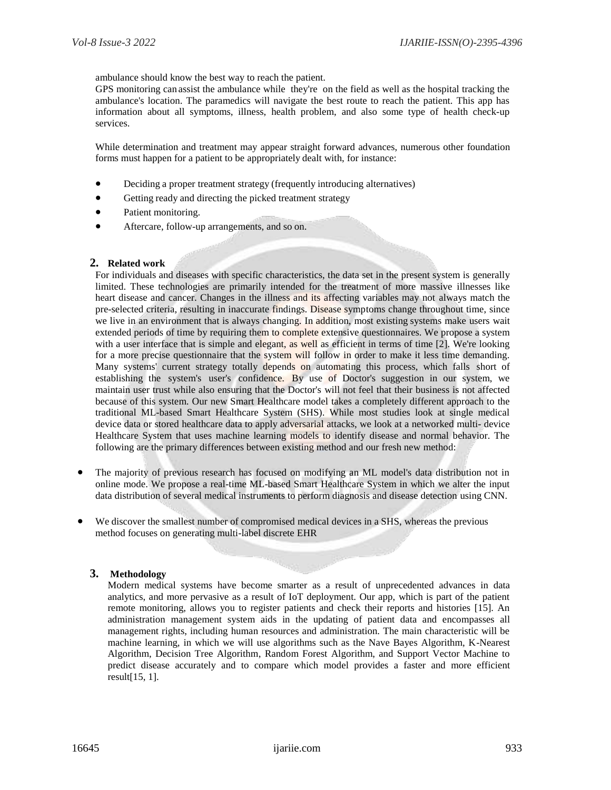ambulance should know the best way to reach the patient.

GPS monitoring can assist the ambulance while they're on the field as well as the hospital tracking the ambulance's location. The paramedics will navigate the best route to reach the patient. This app has information about all symptoms, illness, health problem, and also some type of health check-up services.

While determination and treatment may appear straight forward advances, numerous other foundation forms must happen for a patient to be appropriately dealt with, for instance:

- Deciding a proper treatment strategy (frequently introducing alternatives)
- Getting ready and directing the picked treatment strategy
- Patient monitoring.
- Aftercare, follow-up arrangements, and so on.

## **2. Related work**

For individuals and diseases with specific characteristics, the data set in the present system is generally limited. These technologies are primarily intended for the treatment of more massive illnesses like heart disease and cancer. Changes in the illness and its affecting variables may not always match the pre-selected criteria, resulting in inaccurate findings. Disease symptoms change throughout time, since we live in an environment that is always changing. In addition, most existing systems make users wait extended periods of time by requiring them to complete extensive questionnaires. We propose a system with a user interface that is simple and elegant, as well as efficient in terms of time [2]. We're looking for a more precise questionnaire that the system will follow in order to make it less time demanding. Many systems' current strategy totally depends on automating this process, which falls short of establishing the system's user's confidence. By use of Doctor's suggestion in our system, we maintain user trust while also ensuring that the Doctor's will not feel that their business is not affected because of this system. Our new Smart Healthcare model takes a completely different approach to the traditional ML-based Smart Healthcare System (SHS). While most studies look at single medical device data or stored healthcare data to apply adversarial attacks, we look at a networked multi- device Healthcare System that uses machine learning models to identify disease and normal behavior. The following are the primary differences between existing method and our fresh new method:

- The majority of previous research has focused on modifying an ML model's data distribution not in online mode. We propose a real-time ML-based Smart Healthcare System in which we alter the input data distribution of several medical instruments to perform diagnosis and disease detection using CNN.
- We discover the smallest number of compromised medical devices in a SHS, whereas the previous method focuses on generating multi-label discrete EHR

## **3. Methodology**

Modern medical systems have become smarter as a result of unprecedented advances in data analytics, and more pervasive as a result of IoT deployment. Our app, which is part of the patient remote monitoring, allows you to register patients and check their reports and histories [15]. An administration management system aids in the updating of patient data and encompasses all management rights, including human resources and administration. The main characteristic will be machine learning, in which we will use algorithms such as the Nave Bayes Algorithm, K-Nearest Algorithm, Decision Tree Algorithm, Random Forest Algorithm, and Support Vector Machine to predict disease accurately and to compare which model provides a faster and more efficient result[15, 1].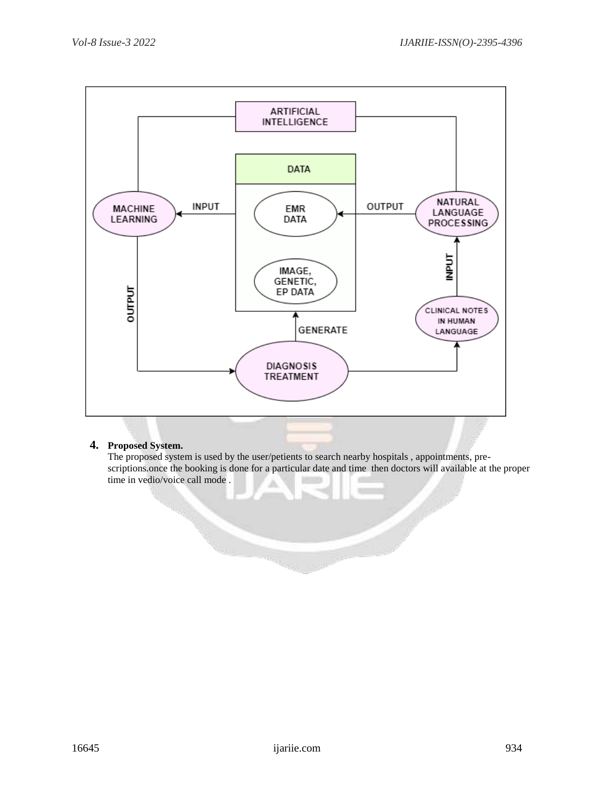

# **4. Proposed System.**

The proposed system is used by the user/petients to search nearby hospitals , appointments, prescriptions.once the booking is done for a particular date and time then doctors will available at the proper time in vedio/voice call mode .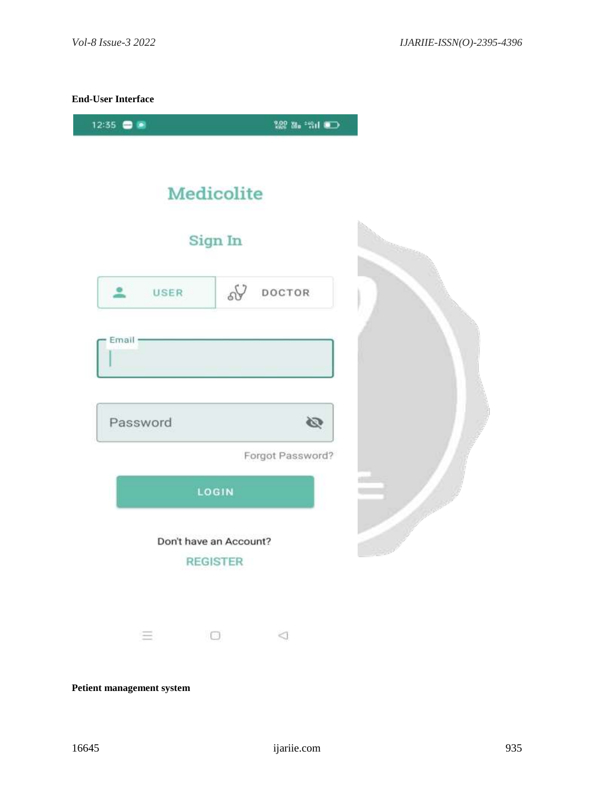# **End-User Interface**





**Petient management system**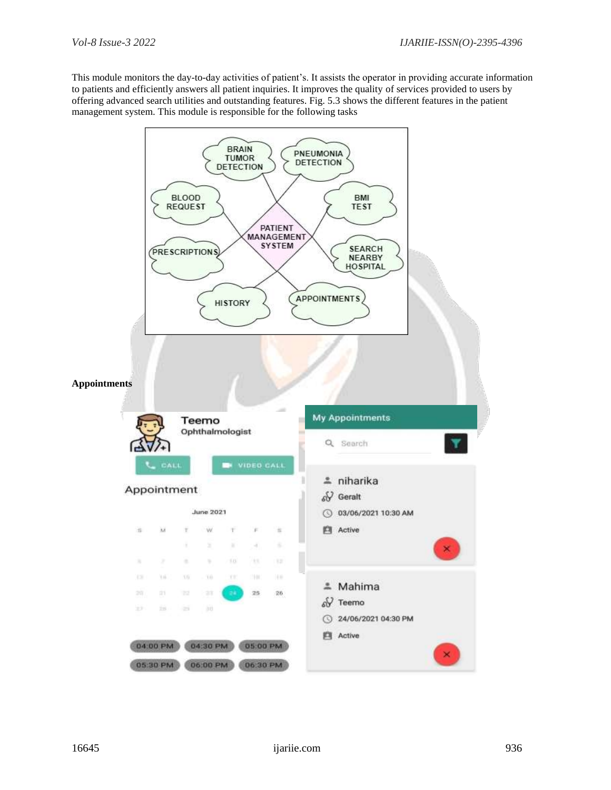This module monitors the day-to-day activities of patient's. It assists the operator in providing accurate information to patients and efficiently answers all patient inquiries. It improves the quality of services provided to users by offering advanced search utilities and outstanding features. Fig. 5.3 shows the different features in the patient management system. This module is responsible for the following tasks

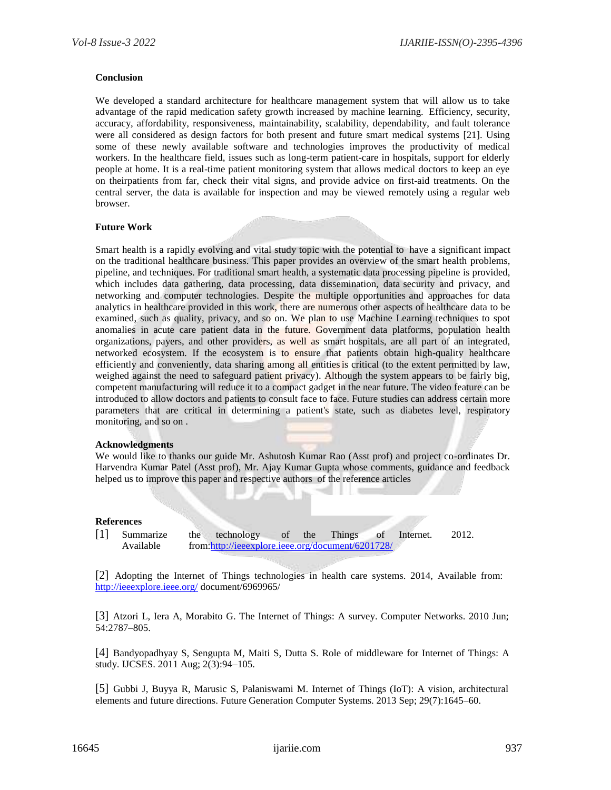## **Conclusion**

We developed a standard architecture for healthcare management system that will allow us to take advantage of the rapid medication safety growth increased by machine learning. Efficiency, security, accuracy, affordability, responsiveness, maintainability, scalability, dependability, and fault tolerance were all considered as design factors for both present and future smart medical systems [21]. Using some of these newly available software and technologies improves the productivity of medical workers. In the healthcare field, issues such as long-term patient-care in hospitals, support for elderly people at home. It is a real-time patient monitoring system that allows medical doctors to keep an eye on theirpatients from far, check their vital signs, and provide advice on first-aid treatments. On the central server, the data is available for inspection and may be viewed remotely using a regular web browser.

## **Future Work**

Smart health is a rapidly evolving and vital study topic with the potential to have a significant impact on the traditional healthcare business. This paper provides an overview of the smart health problems, pipeline, and techniques. For traditional smart health, a systematic data processing pipeline is provided, which includes data gathering, data processing, data dissemination, data security and privacy, and networking and computer technologies. Despite the multiple opportunities and approaches for data analytics in healthcare provided in this work, there are numerous other aspects of healthcare data to be examined, such as quality, privacy, and so on. We plan to use Machine Learning techniques to spot anomalies in acute care patient data in the future. Government data platforms, population health organizations, payers, and other providers, as well as smart hospitals, are all part of an integrated, networked ecosystem. If the ecosystem is to ensure that patients obtain high-quality healthcare efficiently and conveniently, data sharing among all entities is critical (to the extent permitted by law, weighed against the need to safeguard patient privacy). Although the system appears to be fairly big, competent manufacturing will reduce it to a compact gadget in the near future. The video feature can be introduced to allow doctors and patients to consult face to face. Future studies can address certain more parameters that are critical in determining a patient's state, such as diabetes level, respiratory monitoring, and so on .

### **Acknowledgments**

We would like to thanks our guide Mr. Ashutosh Kumar Rao (Asst prof) and project co-ordinates Dr. Harvendra Kumar Patel (Asst prof), Mr. Ajay Kumar Gupta whose comments, guidance and feedback helped us to improve this paper and respective authors of the reference articles

### **References**

[1] Summarize the technology of the Things of Internet. 2012. Available from[:http://ieeexplore.ieee.org/document/6201728/](http://ieeexplore.ieee.org/document/6201728/)

[2] Adopting the Internet of Things technologies in health care systems. 2014, Available from: <http://ieeexplore.ieee.org/> document/6969965/

[3] Atzori L, Iera A, Morabito G. The Internet of Things: A survey. Computer Networks. 2010 Jun; 54:2787–805.

[4] Bandyopadhyay S, Sengupta M, Maiti S, Dutta S. Role of middleware for Internet of Things: A study. IJCSES. 2011 Aug; 2(3):94–105.

[5] Gubbi J, Buyya R, Marusic S, Palaniswami M. Internet of Things (IoT): A vision, architectural elements and future directions. Future Generation Computer Systems. 2013 Sep; 29(7):1645–60.